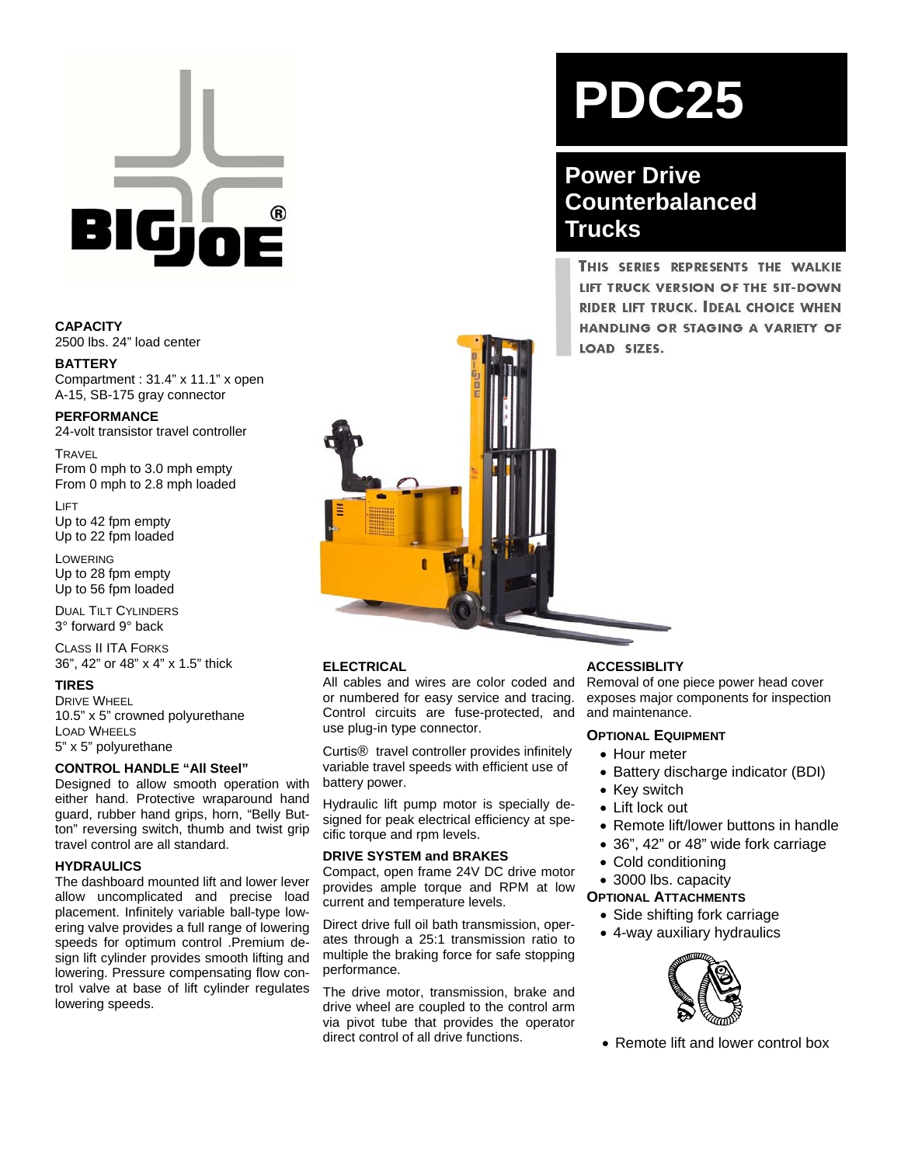

**CAPACITY**  2500 lbs. 24" load center

**BATTERY**  Compartment : 31.4" x 11.1" x open A-15, SB-175 gray connector

**PERFORMANCE**  24-volt transistor travel controller

**TRAVEL** From 0 mph to 3.0 mph empty From 0 mph to 2.8 mph loaded

LIFT Up to 42 fpm empty Up to 22 fpm loaded

LOWERING Up to 28 fpm empty Up to 56 fpm loaded

DUAL TILT CYLINDERS 3° forward 9° back

CLASS II ITA FORKS 36", 42" or 48" x 4" x 1.5" thick

#### **TIRES**

DRIVE WHEEL 10.5" x 5" crowned polyurethane LOAD WHEELS 5" x 5" polyurethane

#### **CONTROL HANDLE "All Steel"**

Designed to allow smooth operation with either hand. Protective wraparound hand guard, rubber hand grips, horn, "Belly Button" reversing switch, thumb and twist grip travel control are all standard.

#### **HYDRAULICS**

The dashboard mounted lift and lower lever allow uncomplicated and precise load placement. Infinitely variable ball-type lowering valve provides a full range of lowering speeds for optimum control .Premium design lift cylinder provides smooth lifting and lowering. Pressure compensating flow control valve at base of lift cylinder regulates lowering speeds.

# **PDC25**

## **Power Drive Counterbalanced Trucks**

THIS SERIES REPRESENTS THE WALKIE LIFT TRUCK VERSION OF THE SIT-DOWN RIDER LIFT TRUCK. IDEAL CHOICE WHEN HANDLING OR STAGING A VARIETY OF LOAD SIZES.

#### **ELECTRICAL**

All cables and wires are color coded and or numbered for easy service and tracing. Control circuits are fuse-protected, and use plug-in type connector.

Curtis® travel controller provides infinitely variable travel speeds with efficient use of battery power.

Hydraulic lift pump motor is specially designed for peak electrical efficiency at specific torque and rpm levels.

#### **DRIVE SYSTEM and BRAKES**

Compact, open frame 24V DC drive motor provides ample torque and RPM at low current and temperature levels.

Direct drive full oil bath transmission, operates through a 25:1 transmission ratio to multiple the braking force for safe stopping performance.

The drive motor, transmission, brake and drive wheel are coupled to the control arm via pivot tube that provides the operator direct control of all drive functions.

#### **ACCESSIBLITY**

Removal of one piece power head cover exposes major components for inspection and maintenance.

### **OPTIONAL EQUIPMENT**

- Hour meter
	- Battery discharge indicator (BDI)
	- Key switch
	- Lift lock out
- Remote lift/lower buttons in handle
- 36", 42" or 48" wide fork carriage
- Cold conditioning
- 3000 lbs. capacity
- **OPTIONAL ATTACHMENTS**

- Side shifting fork carriage
- 4-way auxiliary hydraulics



• Remote lift and lower control box